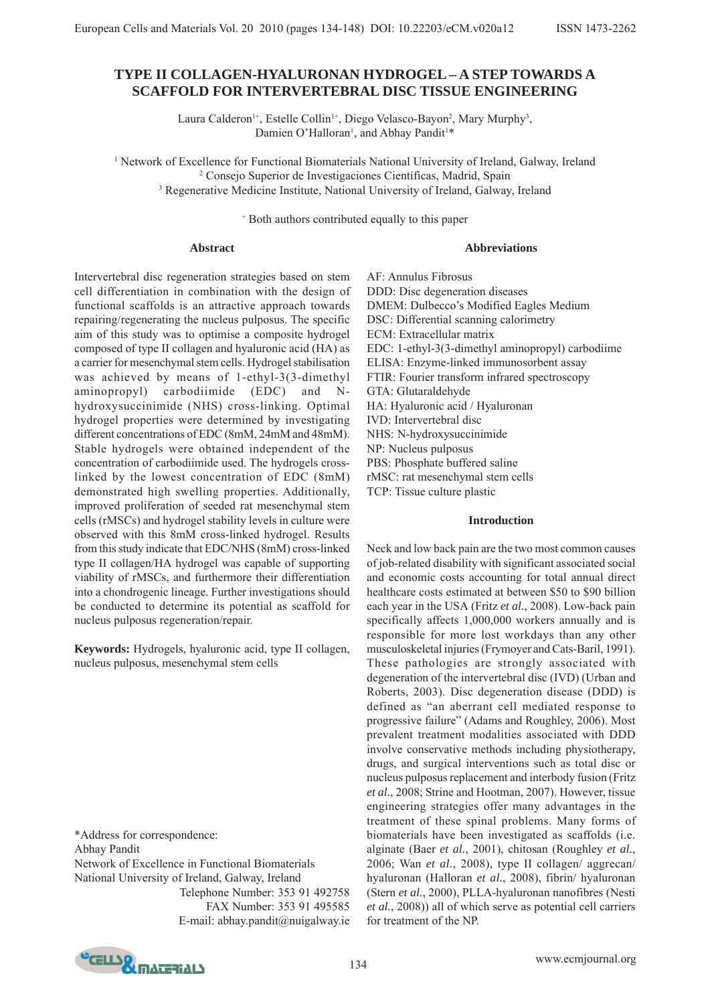# **TYPE II COLLAGEN-HYALURONAN HYDROGEL – A STEP TOWARDS A SCAFFOLD FOR INTERVERTEBRAL DISC TISSUE ENGINEERING**

Laura Calderon<sup>1+</sup>, Estelle Collin<sup>1+</sup>, Diego Velasco-Bayon<sup>2</sup>, Mary Murphy<sup>3</sup>, Damien O'Halloran<sup>1</sup>, and Abhay Pandit<sup>1\*</sup>

<sup>1</sup> Network of Excellence for Functional Biomaterials National University of Ireland, Galway, Ireland 2 Consejo Superior de Investigaciones Científicas, Madrid, Spain <sup>3</sup> Regenerative Medicine Institute, National University of Ireland, Galway, Ireland

+ Both authors contributed equally to this paper

### **Abstract**

### **Abbreviations**

Intervertebral disc regeneration strategies based on stem cell differentiation in combination with the design of functional scaffolds is an attractive approach towards repairing/regenerating the nucleus pulposus. The specific aim of this study was to optimise a composite hydrogel composed of type II collagen and hyaluronic acid (HA) as a carrier for mesenchymal stem cells. Hydrogel stabilisation was achieved by means of 1-ethyl-3(3-dimethyl aminopropyl) carbodiimide (EDC) and Nhydroxysuccinimide (NHS) cross-linking. Optimal hydrogel properties were determined by investigating different concentrations of EDC (8mM, 24mM and 48mM). Stable hydrogels were obtained independent of the concentration of carbodiimide used. The hydrogels crosslinked by the lowest concentration of EDC (8mM) demonstrated high swelling properties. Additionally, improved proliferation of seeded rat mesenchymal stem cells (rMSCs) and hydrogel stability levels in culture were observed with this 8mM cross-linked hydrogel. Results from this study indicate that EDC/NHS (8mM) cross-linked type II collagen/HA hydrogel was capable of supporting viability of rMSCs, and furthermore their differentiation into a chondrogenic lineage. Further investigations should be conducted to determine its potential as scaffold for nucleus pulposus regeneration/repair.

**Keywords:** Hydrogels, hyaluronic acid, type II collagen, nucleus pulposus, mesenchymal stem cells

\*Address for correspondence: Abhay Pandit Network of Excellence in Functional Biomaterials National University of Ireland, Galway, Ireland Telephone Number: 353 91 492758 FAX Number: 353 91 495585 E-mail: abhay.pandit@nuigalway.ie

AF: Annulus Fibrosus DDD: Disc degeneration diseases DMEM: Dulbecco's Modified Eagles Medium DSC: Differential scanning calorimetry ECM: Extracellular matrix EDC: 1-ethyl-3(3-dimethyl aminopropyl) carbodiime ELISA: Enzyme-linked immunosorbent assay FTIR: Fourier transform infrared spectroscopy GTA: Glutaraldehyde HA: Hyaluronic acid / Hyaluronan IVD: Intervertebral disc NHS: N-hydroxysuccinimide NP: Nucleus pulposus PBS: Phosphate buffered saline rMSC: rat mesenchymal stem cells TCP: Tissue culture plastic

## **Introduction**

Neck and low back pain are the two most common causes of job-related disability with significant associated social and economic costs accounting for total annual direct healthcare costs estimated at between \$50 to \$90 billion each year in the USA (Fritz *et al.*, 2008). Low-back pain specifically affects 1,000,000 workers annually and is responsible for more lost workdays than any other musculoskeletal injuries (Frymoyer and Cats-Baril, 1991). These pathologies are strongly associated with degeneration of the intervertebral disc (IVD) (Urban and Roberts, 2003). Disc degeneration disease (DDD) is defined as "an aberrant cell mediated response to progressive failure" (Adams and Roughley, 2006). Most prevalent treatment modalities associated with DDD involve conservative methods including physiotherapy, drugs, and surgical interventions such as total disc or nucleus pulposus replacement and interbody fusion (Fritz *et al.*, 2008; Strine and Hootman, 2007). However, tissue engineering strategies offer many advantages in the treatment of these spinal problems. Many forms of biomaterials have been investigated as scaffolds (i.e. alginate (Baer *et al.*, 2001), chitosan (Roughley *et al.*, 2006; Wan *et al.*, 2008), type II collagen/ aggrecan/ hyaluronan (Halloran *et al.*, 2008), fibrin/ hyaluronan (Stern *et al.*, 2000), PLLA-hyaluronan nanofibres (Nesti *et al.*, 2008)) all of which serve as potential cell carriers for treatment of the NP.

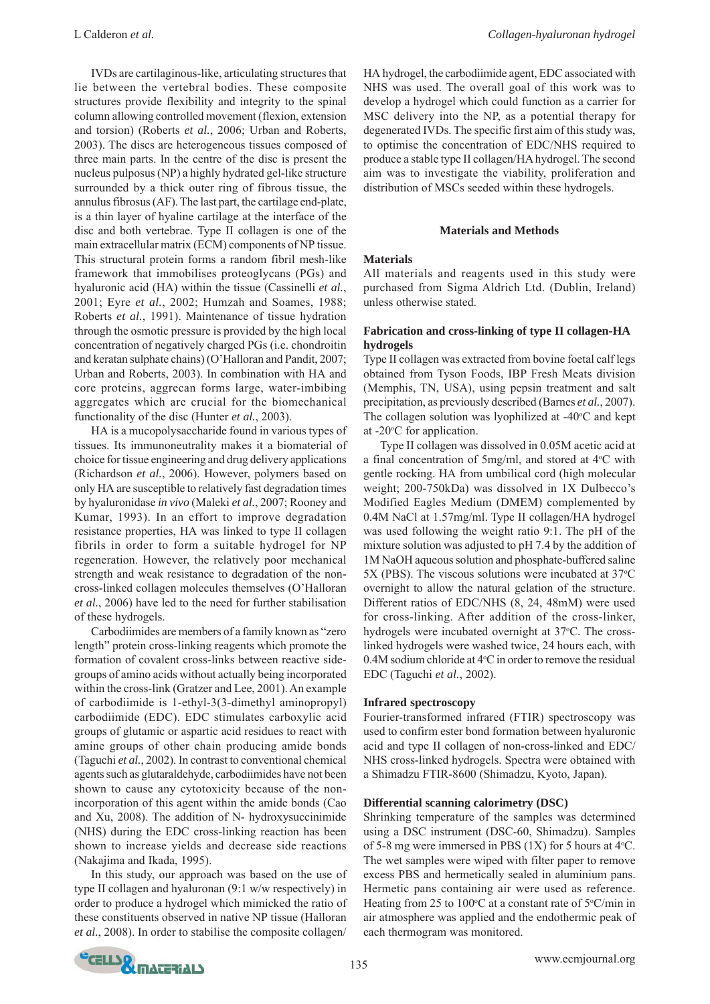IVDs are cartilaginous-like, articulating structures that lie between the vertebral bodies. These composite structures provide flexibility and integrity to the spinal column allowing controlled movement (flexion, extension and torsion) (Roberts *et al.*, 2006; Urban and Roberts, 2003). The discs are heterogeneous tissues composed of three main parts. In the centre of the disc is present the nucleus pulposus (NP) a highly hydrated gel-like structure surrounded by a thick outer ring of fibrous tissue, the annulus fibrosus (AF). The last part, the cartilage end-plate, is a thin layer of hyaline cartilage at the interface of the disc and both vertebrae. Type II collagen is one of the main extracellular matrix (ECM) components of NP tissue. This structural protein forms a random fibril mesh-like framework that immobilises proteoglycans (PGs) and hyaluronic acid (HA) within the tissue (Cassinelli *et al.*, 2001; Eyre *et al.*, 2002; Humzah and Soames, 1988; Roberts *et al.*, 1991). Maintenance of tissue hydration through the osmotic pressure is provided by the high local concentration of negatively charged PGs (i.e. chondroitin and keratan sulphate chains) (O'Halloran and Pandit, 2007; Urban and Roberts, 2003). In combination with HA and core proteins, aggrecan forms large, water-imbibing aggregates which are crucial for the biomechanical functionality of the disc (Hunter *et al.*, 2003).

HA is a mucopolysaccharide found in various types of tissues. Its immunoneutrality makes it a biomaterial of choice for tissue engineering and drug delivery applications (Richardson *et al.*, 2006). However, polymers based on only HA are susceptible to relatively fast degradation times by hyaluronidase *in vivo* (Maleki *et al.*, 2007; Rooney and Kumar, 1993). In an effort to improve degradation resistance properties, HA was linked to type II collagen fibrils in order to form a suitable hydrogel for NP regeneration. However, the relatively poor mechanical strength and weak resistance to degradation of the noncross-linked collagen molecules themselves (O'Halloran *et al.*, 2006) have led to the need for further stabilisation of these hydrogels.

Carbodiimides are members of a family known as "zero length" protein cross-linking reagents which promote the formation of covalent cross-links between reactive sidegroups of amino acids without actually being incorporated within the cross-link (Gratzer and Lee, 2001). An example of carbodiimide is 1-ethyl-3(3-dimethyl aminopropyl) carbodiimide (EDC). EDC stimulates carboxylic acid groups of glutamic or aspartic acid residues to react with amine groups of other chain producing amide bonds (Taguchi *et al.*, 2002). In contrast to conventional chemical agents such as glutaraldehyde, carbodiimides have not been shown to cause any cytotoxicity because of the nonincorporation of this agent within the amide bonds (Cao and Xu, 2008). The addition of N- hydroxysuccinimide (NHS) during the EDC cross-linking reaction has been shown to increase yields and decrease side reactions (Nakajima and Ikada, 1995).

In this study, our approach was based on the use of type II collagen and hyaluronan (9:1 w/w respectively) in order to produce a hydrogel which mimicked the ratio of these constituents observed in native NP tissue (Halloran *et al.*, 2008). In order to stabilise the composite collagen/

HA hydrogel, the carbodiimide agent, EDC associated with NHS was used. The overall goal of this work was to develop a hydrogel which could function as a carrier for MSC delivery into the NP, as a potential therapy for degenerated IVDs. The specific first aim of this study was, to optimise the concentration of EDC/NHS required to produce a stable type II collagen/HA hydrogel. The second aim was to investigate the viability, proliferation and distribution of MSCs seeded within these hydrogels.

#### **Materials and Methods**

## **Materials**

All materials and reagents used in this study were purchased from Sigma Aldrich Ltd. (Dublin, Ireland) unless otherwise stated.

## **Fabrication and cross-linking of type II collagen-HA hydrogels**

Type II collagen was extracted from bovine foetal calf legs obtained from Tyson Foods, IBP Fresh Meats division (Memphis, TN, USA), using pepsin treatment and salt precipitation, as previously described (Barnes *et al.*, 2007). The collagen solution was lyophilized at -40 $\rm ^{o}C$  and kept at -20°C for application.

Type II collagen was dissolved in 0.05M acetic acid at a final concentration of 5mg/ml, and stored at 4°C with gentle rocking. HA from umbilical cord (high molecular weight; 200-750kDa) was dissolved in 1X Dulbecco's Modified Eagles Medium (DMEM) complemented by 0.4M NaCl at 1.57mg/ml. Type II collagen/HA hydrogel was used following the weight ratio 9:1. The pH of the mixture solution was adjusted to pH 7.4 by the addition of 1M NaOH aqueous solution and phosphate-buffered saline 5X (PBS). The viscous solutions were incubated at 37°C overnight to allow the natural gelation of the structure. Different ratios of EDC/NHS (8, 24, 48mM) were used for cross-linking. After addition of the cross-linker, hydrogels were incubated overnight at 37°C. The crosslinked hydrogels were washed twice, 24 hours each, with  $0.4M$  sodium chloride at  $4^{\circ}$ C in order to remove the residual EDC (Taguchi *et al.*, 2002).

#### **Infrared spectroscopy**

Fourier-transformed infrared (FTIR) spectroscopy was used to confirm ester bond formation between hyaluronic acid and type II collagen of non-cross-linked and EDC/ NHS cross-linked hydrogels. Spectra were obtained with a Shimadzu FTIR-8600 (Shimadzu, Kyoto, Japan).

## **Differential scanning calorimetry (DSC)**

Shrinking temperature of the samples was determined using a DSC instrument (DSC-60, Shimadzu). Samples of 5-8 mg were immersed in PBS  $(1X)$  for 5 hours at 4 $\rm ^{o}C$ . The wet samples were wiped with filter paper to remove excess PBS and hermetically sealed in aluminium pans. Hermetic pans containing air were used as reference. Heating from 25 to 100°C at a constant rate of  $5^{\circ}$ C/min in air atmosphere was applied and the endothermic peak of each thermogram was monitored.

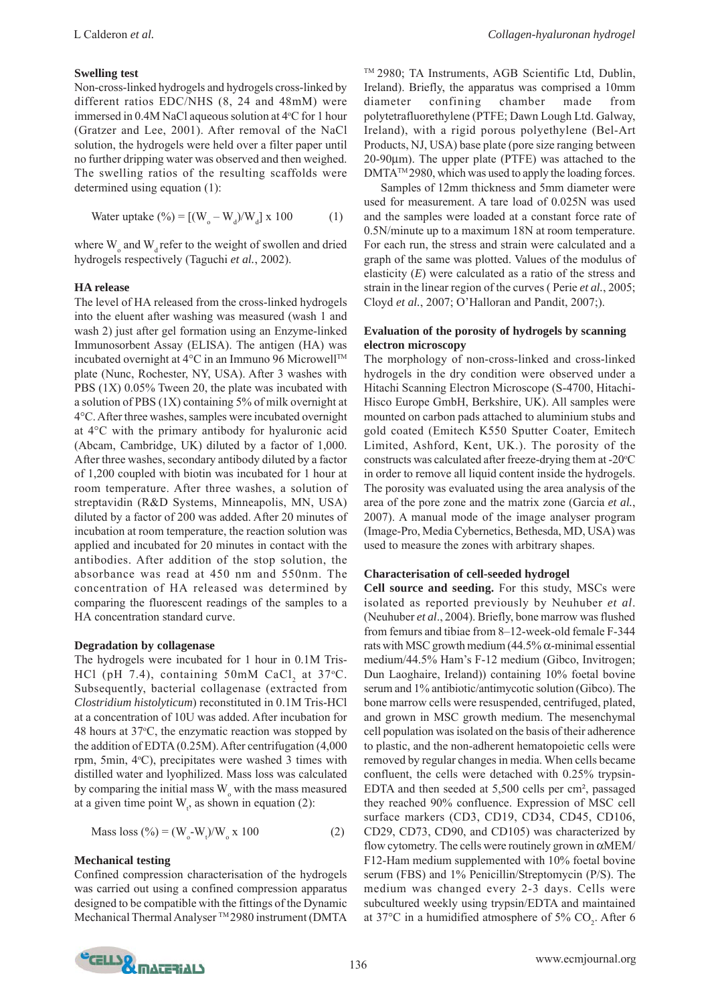#### **Swelling test**

Non-cross-linked hydrogels and hydrogels cross-linked by different ratios EDC/NHS (8, 24 and 48mM) were immersed in 0.4M NaCl aqueous solution at 4°C for 1 hour (Gratzer and Lee, 2001). After removal of the NaCl solution, the hydrogels were held over a filter paper until no further dripping water was observed and then weighed. The swelling ratios of the resulting scaffolds were determined using equation (1):

Water uptake (
$$
\%
$$
) = [(W<sub>o</sub> - W<sub>d</sub>)/W<sub>d</sub>] x 100 (1)

where  $W_{\alpha}$  and  $W_{d}$  refer to the weight of swollen and dried hydrogels respectively (Taguchi *et al.*, 2002).

#### **HA release**

The level of HA released from the cross-linked hydrogels into the eluent after washing was measured (wash 1 and wash 2) just after gel formation using an Enzyme-linked Immunosorbent Assay (ELISA). The antigen (HA) was incubated overnight at 4°C in an Immuno 96 MicrowellTM plate (Nunc, Rochester, NY, USA). After 3 washes with PBS (1X) 0.05% Tween 20, the plate was incubated with a solution of PBS (1X) containing 5% of milk overnight at 4°C. After three washes, samples were incubated overnight at 4°C with the primary antibody for hyaluronic acid (Abcam, Cambridge, UK) diluted by a factor of 1,000. After three washes, secondary antibody diluted by a factor of 1,200 coupled with biotin was incubated for 1 hour at room temperature. After three washes, a solution of streptavidin (R&D Systems, Minneapolis, MN, USA) diluted by a factor of 200 was added. After 20 minutes of incubation at room temperature, the reaction solution was applied and incubated for 20 minutes in contact with the antibodies. After addition of the stop solution, the absorbance was read at 450 nm and 550nm. The concentration of HA released was determined by comparing the fluorescent readings of the samples to a HA concentration standard curve.

#### **Degradation by collagenase**

The hydrogels were incubated for 1 hour in 0.1M Tris-HCl (pH 7.4), containing  $50 \text{mM}$  CaCl<sub>2</sub> at  $37 \text{°C}$ . Subsequently, bacterial collagenase (extracted from *Clostridium histolyticum*) reconstituted in 0.1M Tris-HCl at a concentration of 10U was added. After incubation for 48 hours at 37°C, the enzymatic reaction was stopped by the addition of EDTA (0.25M). After centrifugation (4,000 rpm, 5min, 4°C), precipitates were washed 3 times with distilled water and lyophilized. Mass loss was calculated by comparing the initial mass W<sub>o</sub> with the mass measured at a given time point  $W_t$ , as shown in equation (2):

Mass loss (
$$
\% = (W_o-W_v)/W_o x 100
$$
 (2)

#### **Mechanical testing**

Confined compression characterisation of the hydrogels was carried out using a confined compression apparatus designed to be compatible with the fittings of the Dynamic Mechanical Thermal Analyser ™2980 instrument (DMTA ™ 2980; TA Instruments, AGB Scientific Ltd, Dublin, Ireland). Briefly, the apparatus was comprised a 10mm diameter confining chamber made from polytetrafluorethylene (PTFE; Dawn Lough Ltd. Galway, Ireland), with a rigid porous polyethylene (Bel-Art Products, NJ, USA) base plate (pore size ranging between 20-90μm). The upper plate (PTFE) was attached to the DMTA<sup>™</sup> 2980, which was used to apply the loading forces.

Samples of 12mm thickness and 5mm diameter were used for measurement. A tare load of 0.025N was used and the samples were loaded at a constant force rate of 0.5N/minute up to a maximum 18N at room temperature. For each run, the stress and strain were calculated and a graph of the same was plotted. Values of the modulus of elasticity (*E*) were calculated as a ratio of the stress and strain in the linear region of the curves ( Perie *et al.*, 2005; Cloyd *et al.*, 2007; O'Halloran and Pandit, 2007;).

### **Evaluation of the porosity of hydrogels by scanning electron microscopy**

The morphology of non-cross-linked and cross-linked hydrogels in the dry condition were observed under a Hitachi Scanning Electron Microscope (S-4700, Hitachi-Hisco Europe GmbH, Berkshire, UK). All samples were mounted on carbon pads attached to aluminium stubs and gold coated (Emitech K550 Sputter Coater, Emitech Limited, Ashford, Kent, UK.). The porosity of the constructs was calculated after freeze-drying them at -20°C in order to remove all liquid content inside the hydrogels. The porosity was evaluated using the area analysis of the area of the pore zone and the matrix zone (Garcia *et al.*, 2007). A manual mode of the image analyser program (Image-Pro, Media Cybernetics, Bethesda, MD, USA) was used to measure the zones with arbitrary shapes.

#### **Characterisation of cell-seeded hydrogel**

**Cell source and seeding.** For this study, MSCs were isolated as reported previously by Neuhuber *et al*. (Neuhuber *et al*., 2004). Briefly, bone marrow was flushed from femurs and tibiae from 8–12-week-old female F-344 rats with MSC growth medium  $(44.5\% \alpha$ -minimal essential medium/44.5% Ham's F-12 medium (Gibco, Invitrogen; Dun Laoghaire, Ireland)) containing 10% foetal bovine serum and 1% antibiotic/antimycotic solution (Gibco). The bone marrow cells were resuspended, centrifuged, plated, and grown in MSC growth medium. The mesenchymal cell population was isolated on the basis of their adherence to plastic, and the non-adherent hematopoietic cells were removed by regular changes in media. When cells became confluent, the cells were detached with 0.25% trypsin-EDTA and then seeded at 5,500 cells per cm², passaged they reached 90% confluence. Expression of MSC cell surface markers (CD3, CD19, CD34, CD45, CD106, CD29, CD73, CD90, and CD105) was characterized by flow cytometry. The cells were routinely grown in  $\alpha$ MEM/ F12-Ham medium supplemented with 10% foetal bovine serum (FBS) and 1% Penicillin/Streptomycin (P/S). The medium was changed every 2-3 days. Cells were subcultured weekly using trypsin/EDTA and maintained at 37°C in a humidified atmosphere of 5%  $CO_2$ . After 6

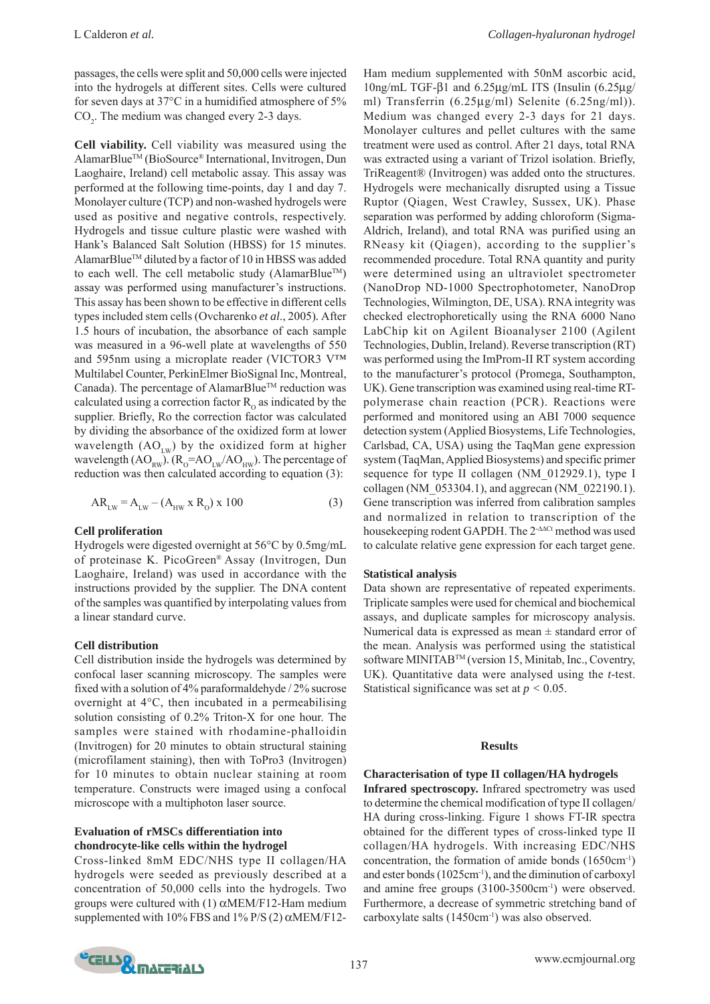L Calderon *et al. Collagen-hyaluronan hydrogel*

passages, the cells were split and 50,000 cells were injected into the hydrogels at different sites. Cells were cultured for seven days at 37°C in a humidified atmosphere of 5%  $CO<sub>2</sub>$ . The medium was changed every 2-3 days.

**Cell viability.** Cell viability was measured using the AlamarBlueTM (BioSource® International, Invitrogen, Dun Laoghaire, Ireland) cell metabolic assay. This assay was performed at the following time-points, day 1 and day 7. Monolayer culture (TCP) and non-washed hydrogels were used as positive and negative controls, respectively. Hydrogels and tissue culture plastic were washed with Hank's Balanced Salt Solution (HBSS) for 15 minutes. AlamarBlue™ diluted by a factor of 10 in HBSS was added to each well. The cell metabolic study (AlamarBlue<sup>TM</sup>) assay was performed using manufacturer's instructions. This assay has been shown to be effective in different cells types included stem cells (Ovcharenko *et al*., 2005)*.* After 1.5 hours of incubation, the absorbance of each sample was measured in a 96-well plate at wavelengths of 550 and 595nm using a microplate reader (VICTOR3 V™ Multilabel Counter, PerkinElmer BioSignal Inc, Montreal, Canada). The percentage of AlamarBlue™ reduction was calculated using a correction factor  $R_0$  as indicated by the supplier. Briefly, Ro the correction factor was calculated by dividing the absorbance of the oxidized form at lower wavelength  $(AO_{rw})$  by the oxidized form at higher wavelength  $(AO_{RW})$ . ( $R_0 = AO_{LW}/AO_{HW}$ ). The percentage of reduction was then calculated according to equation (3):

$$
AR_{LW} = A_{LW} - (A_{HW} \times R_0) \times 100
$$
 (3)

#### **Cell proliferation**

Hydrogels were digested overnight at 56°C by 0.5mg/mL of proteinase K. PicoGreen® Assay (Invitrogen, Dun Laoghaire, Ireland) was used in accordance with the instructions provided by the supplier. The DNA content of the samples was quantified by interpolating values from a linear standard curve.

#### **Cell distribution**

Cell distribution inside the hydrogels was determined by confocal laser scanning microscopy. The samples were fixed with a solution of 4% paraformaldehyde / 2% sucrose overnight at 4°C, then incubated in a permeabilising solution consisting of 0.2% Triton-X for one hour. The samples were stained with rhodamine-phalloidin (Invitrogen) for 20 minutes to obtain structural staining (microfilament staining), then with ToPro3 (Invitrogen) for 10 minutes to obtain nuclear staining at room temperature. Constructs were imaged using a confocal microscope with a multiphoton laser source.

## **Evaluation of rMSCs differentiation into chondrocyte-like cells within the hydrogel**

Cross-linked 8mM EDC/NHS type II collagen/HA hydrogels were seeded as previously described at a concentration of 50,000 cells into the hydrogels. Two groups were cultured with (1)  $\alpha$ MEM/F12-Ham medium supplemented with 10% FBS and 1% P/S (2)  $\alpha$ MEM/F12Ham medium supplemented with 50nM ascorbic acid, 10ng/mL TGF-β1 and 6.25μg/mL ITS (Insulin (6.25μg/ ml) Transferrin (6.25μg/ml) Selenite (6.25ng/ml)). Medium was changed every 2-3 days for 21 days. Monolayer cultures and pellet cultures with the same treatment were used as control. After 21 days, total RNA was extracted using a variant of Trizol isolation. Briefly, TriReagent® (Invitrogen) was added onto the structures. Hydrogels were mechanically disrupted using a Tissue Ruptor (Qiagen, West Crawley, Sussex, UK). Phase separation was performed by adding chloroform (Sigma-Aldrich, Ireland), and total RNA was purified using an RNeasy kit (Qiagen), according to the supplier's recommended procedure. Total RNA quantity and purity were determined using an ultraviolet spectrometer (NanoDrop ND-1000 Spectrophotometer, NanoDrop Technologies, Wilmington, DE, USA). RNA integrity was checked electrophoretically using the RNA 6000 Nano LabChip kit on Agilent Bioanalyser 2100 (Agilent Technologies, Dublin, Ireland). Reverse transcription (RT) was performed using the ImProm-II RT system according to the manufacturer's protocol (Promega, Southampton, UK). Gene transcription was examined using real-time RTpolymerase chain reaction (PCR). Reactions were performed and monitored using an ABI 7000 sequence detection system (Applied Biosystems, Life Technologies, Carlsbad, CA, USA) using the TaqMan gene expression system (TaqMan, Applied Biosystems) and specific primer sequence for type II collagen (NM\_012929.1), type I collagen (NM\_053304.1), and aggrecan (NM\_022190.1). Gene transcription was inferred from calibration samples and normalized in relation to transcription of the housekeeping rodent GAPDH. The 2-ΔΔCt method was used to calculate relative gene expression for each target gene.

#### **Statistical analysis**

Data shown are representative of repeated experiments. Triplicate samples were used for chemical and biochemical assays, and duplicate samples for microscopy analysis. Numerical data is expressed as mean  $\pm$  standard error of the mean. Analysis was performed using the statistical software MINITAB<sup>™</sup> (version 15, Minitab, Inc., Coventry, UK). Quantitative data were analysed using the *t*-test. Statistical significance was set at *p <* 0.05.

#### **Results**

### **Characterisation of type II collagen/HA hydrogels**

**Infrared spectroscopy.** Infrared spectrometry was used to determine the chemical modification of type II collagen/ HA during cross-linking. Figure 1 shows FT-IR spectra obtained for the different types of cross-linked type II collagen/HA hydrogels. With increasing EDC/NHS concentration, the formation of amide bonds (1650cm-1) and ester bonds (1025cm-1), and the diminution of carboxyl and amine free groups (3100-3500cm<sup>-1</sup>) were observed. Furthermore, a decrease of symmetric stretching band of carboxylate salts (1450cm-1) was also observed.

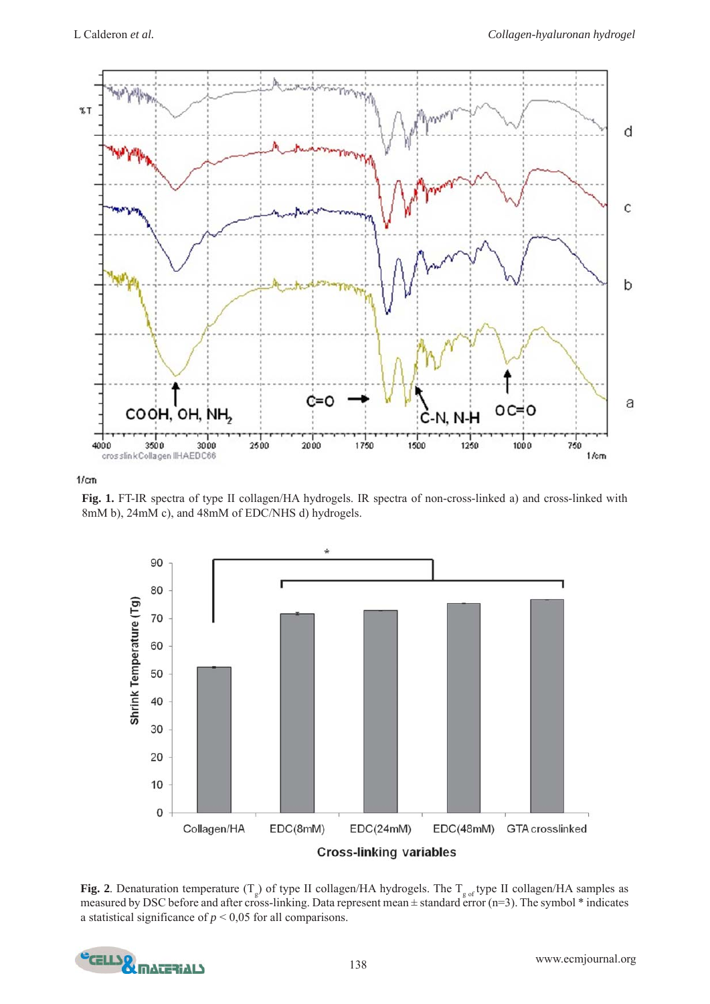

 $1/\text{cm}$ 

**Fig. 1.** FT-IR spectra of type II collagen/HA hydrogels. IR spectra of non-cross-linked a) and cross-linked with 8mM b), 24mM c), and 48mM of EDC/NHS d) hydrogels.



**Fig. 2**. Denaturation temperature  $(T_g)$  of type II collagen/HA hydrogels. The  $T_{g \text{ of }}$ type II collagen/HA samples as measured by DSC before and after cross-linking. Data represent mean  $\pm$  standard error (n=3). The symbol  $*$  indicates a statistical significance of  $p < 0.05$  for all comparisons.

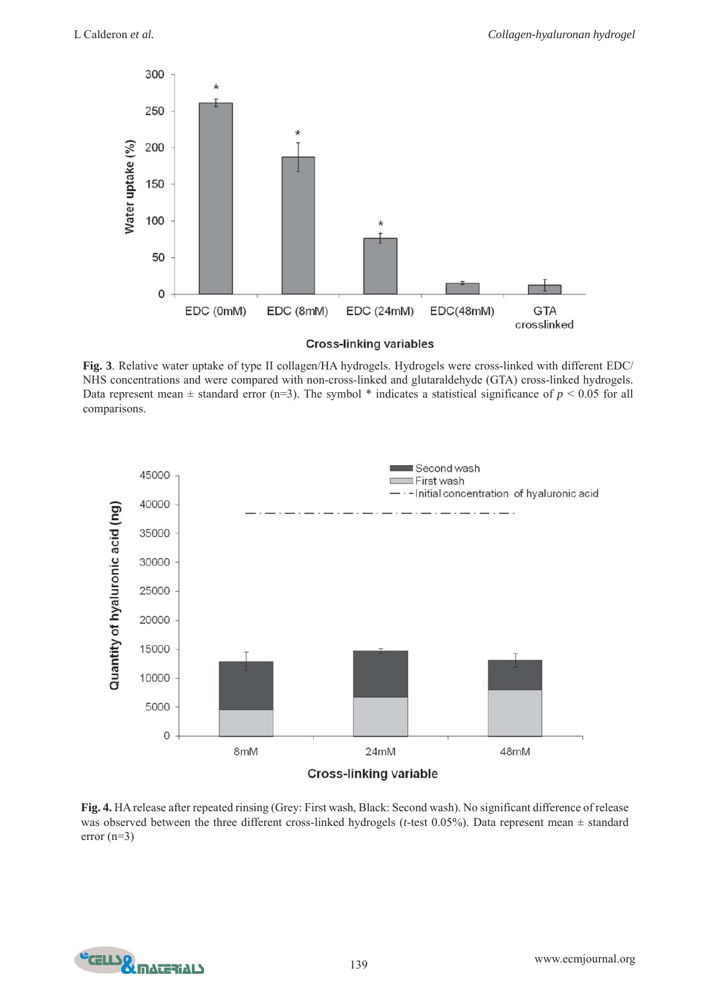

**Fig. 3**. Relative water uptake of type II collagen/HA hydrogels. Hydrogels were cross-linked with different EDC/ NHS concentrations and were compared with non-cross-linked and glutaraldehyde (GTA) cross-linked hydrogels. Data represent mean  $\pm$  standard error (n=3). The symbol  $*$  indicates a statistical significance of  $p < 0.05$  for all comparisons.



**Fig. 4.** HA release after repeated rinsing (Grey: First wash, Black: Second wash). No significant difference of release was observed between the three different cross-linked hydrogels (*t*-test 0.05%). Data represent mean ± standard error (n=3)

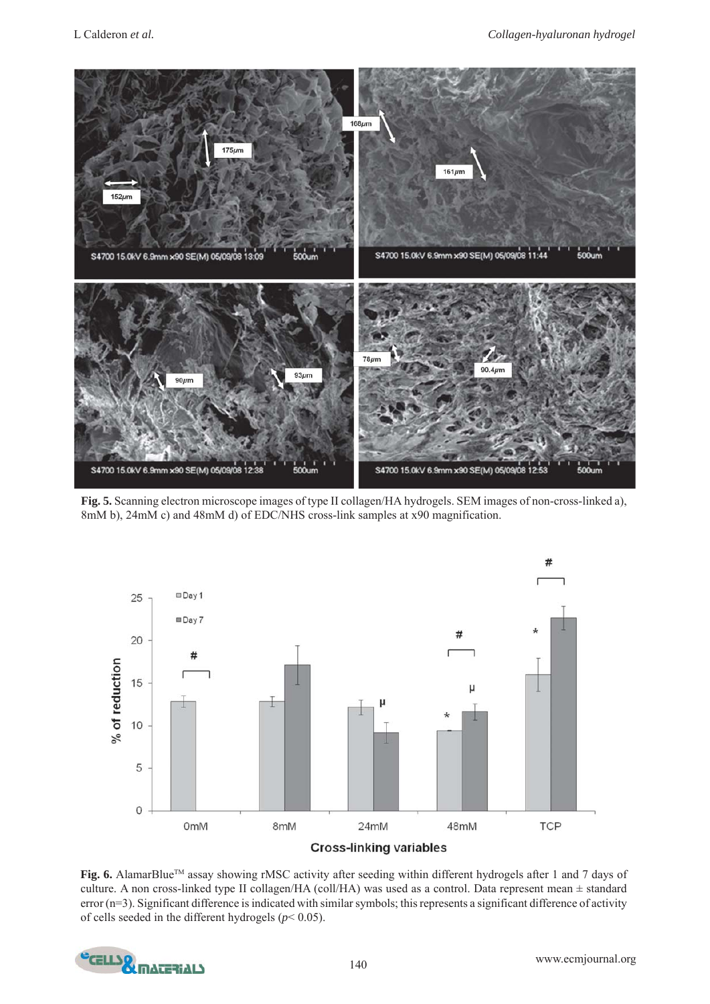

**Fig. 5.** Scanning electron microscope images of type II collagen/HA hydrogels. SEM images of non-cross-linked a), 8mM b), 24mM c) and 48mM d) of EDC/NHS cross-link samples at x90 magnification.



Fig. 6. AlamarBlue<sup>™</sup> assay showing rMSC activity after seeding within different hydrogels after 1 and 7 days of culture. A non cross-linked type II collagen/HA (coll/HA) was used as a control. Data represent mean ± standard error (n=3). Significant difference is indicated with similar symbols; this represents a significant difference of activity of cells seeded in the different hydrogels (*p*< 0.05).

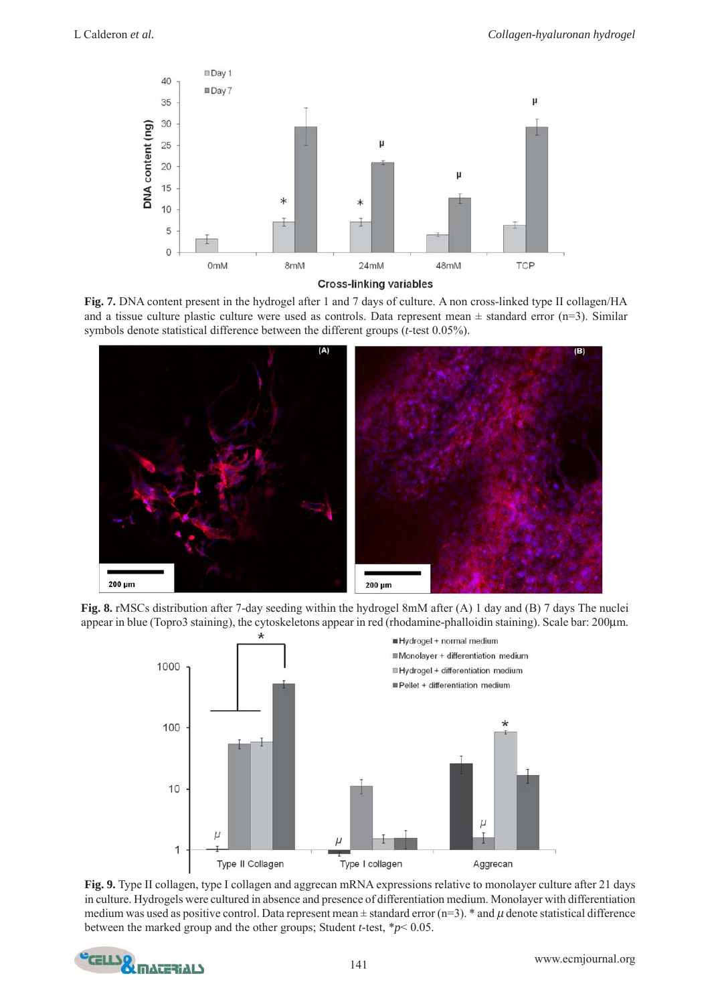





**Fig. 8.** rMSCs distribution after 7-day seeding within the hydrogel 8mM after (A) 1 day and (B) 7 days The nuclei appear in blue (Topro3 staining), the cytoskeletons appear in red (rhodamine-phalloidin staining). Scale bar: 200μm.



**Fig. 9.** Type II collagen, type I collagen and aggrecan mRNA expressions relative to monolayer culture after 21 days in culture. Hydrogels were cultured in absence and presence of differentiation medium. Monolayer with differentiation medium was used as positive control. Data represent mean  $\pm$  standard error (n=3). \* and  $\mu$  denote statistical difference between the marked group and the other groups; Student *t*-test, \**p*< 0.05.

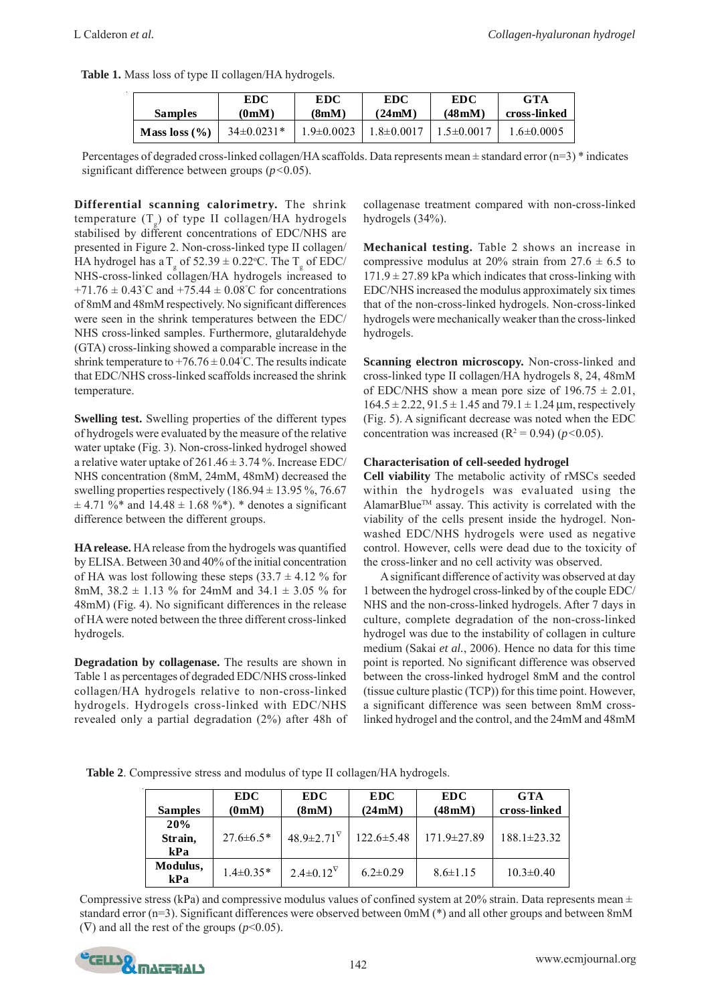| Table 1. Mass loss of type II collagen/HA hydrogels. |  |  |  |
|------------------------------------------------------|--|--|--|
|------------------------------------------------------|--|--|--|

| <b>Samples</b>  | EDC<br>(0 <sub>m</sub> <b>M</b> ) | EDC<br>(8mM)     | EDC<br>$(24 \text{mM})$ | <b>EDC</b><br>(48 <sub>m</sub> ) <sub>M</sub> | <b>GTA</b><br>cross-linked |
|-----------------|-----------------------------------|------------------|-------------------------|-----------------------------------------------|----------------------------|
| Mass $loss (%)$ | $34\pm0.0231*$                    | $1.9 \pm 0.0023$ | $1.8 \pm 0.0017$        | $1.5 \pm 0.001$ <sup>7</sup>                  | 1.6±0.0005                 |

Percentages of degraded cross-linked collagen/HA scaffolds. Data represents mean  $\pm$  standard error (n=3)  $*$  indicates significant difference between groups (*p<*0.05).

**Differential scanning calorimetry.** The shrink temperature (T<sub>g</sub>) of type II collagen/HA hydrogels stabilised by different concentrations of EDC/NHS are presented in Figure 2. Non-cross-linked type II collagen/ HA hydrogel has a T  $_{\rm g}$  of 52.39  $\pm$  0.22°C. The T  $_{\rm g}$  of EDC/ NHS-cross-linked collagen/HA hydrogels increased to  $+71.76 \pm 0.43^{\circ}$ C and  $+75.44 \pm 0.08^{\circ}$ C for concentrations of 8mM and 48mM respectively. No significant differences were seen in the shrink temperatures between the EDC/ NHS cross-linked samples. Furthermore, glutaraldehyde (GTA) cross-linking showed a comparable increase in the shrink temperature to  $+76.76 \pm 0.04$ °C. The results indicate that EDC/NHS cross-linked scaffolds increased the shrink temperature.

**Swelling test.** Swelling properties of the different types of hydrogels were evaluated by the measure of the relative water uptake (Fig. 3). Non-cross-linked hydrogel showed a relative water uptake of  $261.46 \pm 3.74$  %. Increase EDC/ NHS concentration (8mM, 24mM, 48mM) decreased the swelling properties respectively  $(186.94 \pm 13.95\% , 76.67$  $\pm$  4.71 %\* and 14.48  $\pm$  1.68 %\*). \* denotes a significant difference between the different groups.

**HA release.** HA release from the hydrogels was quantified by ELISA. Between 30 and 40% of the initial concentration of HA was lost following these steps  $(33.7 \pm 4.12 \%)$  for 8mM,  $38.2 \pm 1.13$  % for 24mM and  $34.1 \pm 3.05$  % for 48mM) (Fig. 4). No significant differences in the release of HA were noted between the three different cross-linked hydrogels.

**Degradation by collagenase.** The results are shown in Table 1 as percentages of degraded EDC/NHS cross-linked collagen/HA hydrogels relative to non-cross-linked hydrogels. Hydrogels cross-linked with EDC/NHS revealed only a partial degradation (2%) after 48h of

collagenase treatment compared with non-cross-linked hydrogels (34%).

**Mechanical testing.** Table 2 shows an increase in compressive modulus at 20% strain from  $27.6 \pm 6.5$  to  $171.9 \pm 27.89$  kPa which indicates that cross-linking with EDC/NHS increased the modulus approximately six times that of the non-cross-linked hydrogels. Non-cross-linked hydrogels were mechanically weaker than the cross-linked hydrogels.

**Scanning electron microscopy.** Non-cross-linked and cross-linked type II collagen/HA hydrogels 8, 24, 48mM of EDC/NHS show a mean pore size of  $196.75 \pm 2.01$ ,  $164.5 \pm 2.22$ ,  $91.5 \pm 1.45$  and  $79.1 \pm 1.24$  µm, respectively (Fig. 5). A significant decrease was noted when the EDC concentration was increased  $(R^2 = 0.94)$  ( $p < 0.05$ ).

# **Characterisation of cell-seeded hydrogel**

**Cell viability** The metabolic activity of rMSCs seeded within the hydrogels was evaluated using the AlamarBlue™ assay. This activity is correlated with the viability of the cells present inside the hydrogel. Nonwashed EDC/NHS hydrogels were used as negative control. However, cells were dead due to the toxicity of the cross-linker and no cell activity was observed.

A significant difference of activity was observed at day 1 between the hydrogel cross-linked by of the couple EDC/ NHS and the non-cross-linked hydrogels. After 7 days in culture, complete degradation of the non-cross-linked hydrogel was due to the instability of collagen in culture medium (Sakai *et al.*, 2006). Hence no data for this time point is reported. No significant difference was observed between the cross-linked hydrogel 8mM and the control (tissue culture plastic (TCP)) for this time point. However, a significant difference was seen between 8mM crosslinked hydrogel and the control, and the 24mM and 48mM

**Table 2**. Compressive stress and modulus of type II collagen/HA hydrogels.

| <b>Samples</b>        | <b>EDC</b><br>(0 <sub>m</sub> <b>M</b> ) | <b>EDC</b><br>(8mM)      | <b>EDC</b><br>(24mM) | <b>EDC</b><br>(48 <sub>m</sub> M) | <b>GTA</b><br>cross-linked |
|-----------------------|------------------------------------------|--------------------------|----------------------|-----------------------------------|----------------------------|
| 20%<br>Strain,<br>kPa | $27.6 \pm 6.5*$                          | $48.9 \pm 2.71^{\nabla}$ | $122.6 \pm 5.48$     | $171.9 \pm 27.89$                 | $188.1 \pm 23.32$          |
| Modulus,<br>kPa       | $1.4 \pm 0.35*$                          | $2.4 \pm 0.12^{\rm V}$   | $6.2 \pm 0.29$       | $8.6 \pm 1.15$                    | $10.3 \pm 0.40$            |

Compressive stress (kPa) and compressive modulus values of confined system at 20% strain. Data represents mean  $\pm$ standard error (n=3). Significant differences were observed between 0mM (\*) and all other groups and between 8mM (∇) and all the rest of the groups (*p*<0.05).

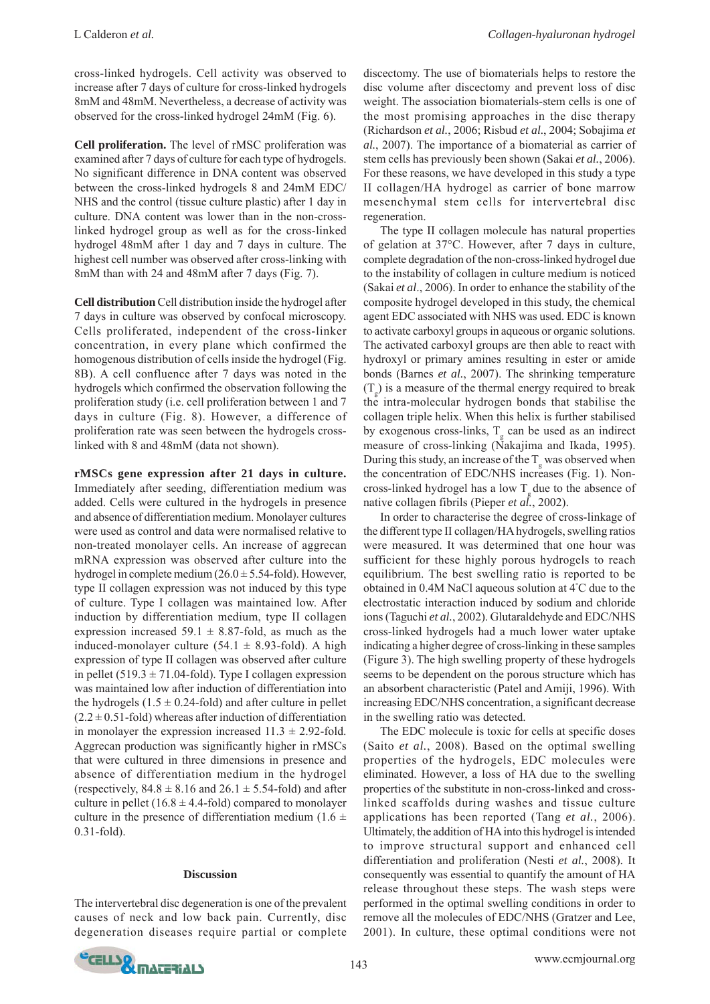cross-linked hydrogels. Cell activity was observed to increase after 7 days of culture for cross-linked hydrogels 8mM and 48mM. Nevertheless, a decrease of activity was observed for the cross-linked hydrogel 24mM (Fig. 6).

**Cell proliferation.** The level of rMSC proliferation was examined after 7 days of culture for each type of hydrogels. No significant difference in DNA content was observed between the cross-linked hydrogels 8 and 24mM EDC/ NHS and the control (tissue culture plastic) after 1 day in culture. DNA content was lower than in the non-crosslinked hydrogel group as well as for the cross-linked hydrogel 48mM after 1 day and 7 days in culture. The highest cell number was observed after cross-linking with 8mM than with 24 and 48mM after 7 days (Fig. 7).

**Cell distribution** Cell distribution inside the hydrogel after 7 days in culture was observed by confocal microscopy. Cells proliferated, independent of the cross-linker concentration, in every plane which confirmed the homogenous distribution of cells inside the hydrogel (Fig. 8B). A cell confluence after 7 days was noted in the hydrogels which confirmed the observation following the proliferation study (i.e. cell proliferation between 1 and 7 days in culture (Fig. 8). However, a difference of proliferation rate was seen between the hydrogels crosslinked with 8 and 48mM (data not shown).

**rMSCs gene expression after 21 days in culture.** Immediately after seeding, differentiation medium was added. Cells were cultured in the hydrogels in presence and absence of differentiation medium. Monolayer cultures were used as control and data were normalised relative to non-treated monolayer cells. An increase of aggrecan mRNA expression was observed after culture into the hydrogel in complete medium (26.0 ± 5.54-fold). However, type II collagen expression was not induced by this type of culture. Type I collagen was maintained low. After induction by differentiation medium, type II collagen expression increased 59.1  $\pm$  8.87-fold, as much as the induced-monolayer culture  $(54.1 \pm 8.93 \text{-} fold)$ . A high expression of type II collagen was observed after culture in pellet  $(519.3 \pm 71.04$ -fold). Type I collagen expression was maintained low after induction of differentiation into the hydrogels  $(1.5 \pm 0.24$ -fold) and after culture in pellet  $(2.2 \pm 0.51$ -fold) whereas after induction of differentiation in monolayer the expression increased  $11.3 \pm 2.92$ -fold. Aggrecan production was significantly higher in rMSCs that were cultured in three dimensions in presence and absence of differentiation medium in the hydrogel (respectively,  $84.8 \pm 8.16$  and  $26.1 \pm 5.54$ -fold) and after culture in pellet  $(16.8 \pm 4.4$ -fold) compared to monolayer culture in the presence of differentiation medium (1.6  $\pm$ 0.31-fold).

#### **Discussion**

The intervertebral disc degeneration is one of the prevalent causes of neck and low back pain. Currently, disc degeneration diseases require partial or complete

discectomy. The use of biomaterials helps to restore the disc volume after discectomy and prevent loss of disc weight. The association biomaterials-stem cells is one of the most promising approaches in the disc therapy (Richardson *et al.*, 2006; Risbud *et al.*, 2004; Sobajima *et al.*, 2007). The importance of a biomaterial as carrier of stem cells has previously been shown (Sakai *et al.*, 2006). For these reasons, we have developed in this study a type II collagen/HA hydrogel as carrier of bone marrow mesenchymal stem cells for intervertebral disc regeneration.

The type II collagen molecule has natural properties of gelation at 37°C. However, after 7 days in culture, complete degradation of the non-cross-linked hydrogel due to the instability of collagen in culture medium is noticed (Sakai *et al*., 2006). In order to enhance the stability of the composite hydrogel developed in this study, the chemical agent EDC associated with NHS was used. EDC is known to activate carboxyl groups in aqueous or organic solutions. The activated carboxyl groups are then able to react with hydroxyl or primary amines resulting in ester or amide bonds (Barnes *et al.*, 2007). The shrinking temperature  $(T_g)$  is a measure of the thermal energy required to break the intra-molecular hydrogen bonds that stabilise the collagen triple helix. When this helix is further stabilised by exogenous cross-links,  $T_g$  can be used as an indirect measure of cross-linking (Nakajima and Ikada, 1995). During this study, an increase of the  $T_g$  was observed when the concentration of EDC/NHS increases (Fig. 1). Noncross-linked hydrogel has a low T due to the absence of native collagen fibrils (Pieper *et al.*, 2002).

In order to characterise the degree of cross-linkage of the different type II collagen/HA hydrogels, swelling ratios were measured. It was determined that one hour was sufficient for these highly porous hydrogels to reach equilibrium. The best swelling ratio is reported to be obtained in 0.4M NaCl aqueous solution at 4° C due to the electrostatic interaction induced by sodium and chloride ions (Taguchi *et al.*, 2002). Glutaraldehyde and EDC/NHS cross-linked hydrogels had a much lower water uptake indicating a higher degree of cross-linking in these samples (Figure 3). The high swelling property of these hydrogels seems to be dependent on the porous structure which has an absorbent characteristic (Patel and Amiji, 1996). With increasing EDC/NHS concentration, a significant decrease in the swelling ratio was detected.

The EDC molecule is toxic for cells at specific doses (Saito *et al.*, 2008). Based on the optimal swelling properties of the hydrogels, EDC molecules were eliminated. However, a loss of HA due to the swelling properties of the substitute in non-cross-linked and crosslinked scaffolds during washes and tissue culture applications has been reported (Tang *et al.*, 2006). Ultimately, the addition of HA into this hydrogel is intended to improve structural support and enhanced cell differentiation and proliferation (Nesti *et al.*, 2008)*.* It consequently was essential to quantify the amount of HA release throughout these steps. The wash steps were performed in the optimal swelling conditions in order to remove all the molecules of EDC/NHS (Gratzer and Lee, 2001). In culture, these optimal conditions were not

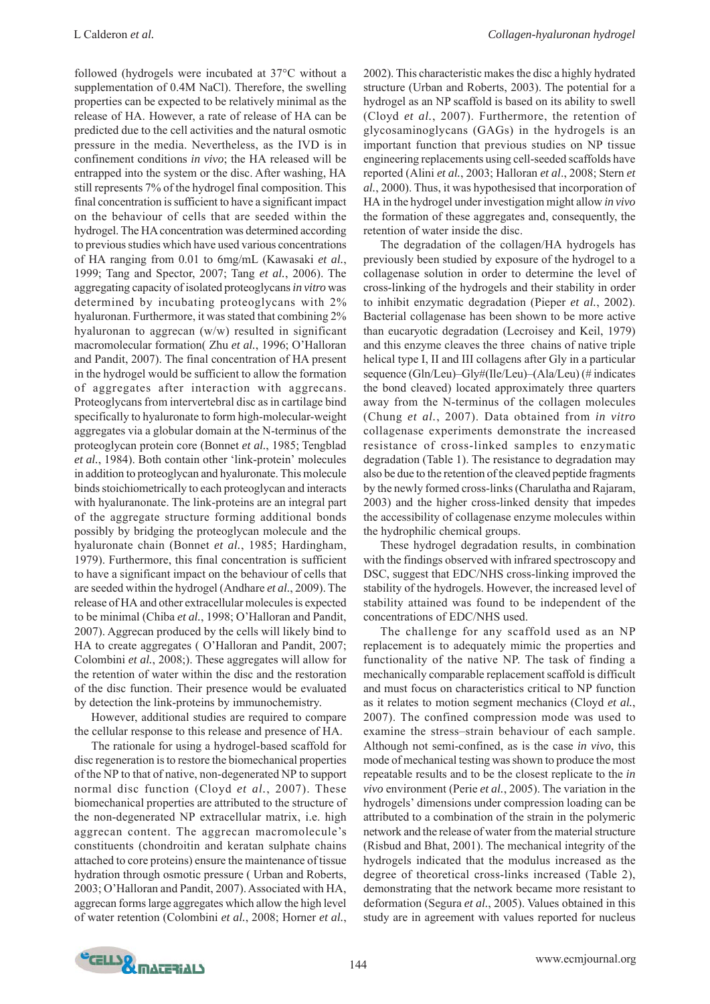followed (hydrogels were incubated at 37°C without a supplementation of 0.4M NaCl). Therefore, the swelling properties can be expected to be relatively minimal as the release of HA. However, a rate of release of HA can be predicted due to the cell activities and the natural osmotic pressure in the media. Nevertheless, as the IVD is in confinement conditions *in vivo*; the HA released will be entrapped into the system or the disc. After washing, HA still represents 7% of the hydrogel final composition. This final concentration is sufficient to have a significant impact on the behaviour of cells that are seeded within the hydrogel. The HA concentration was determined according to previous studies which have used various concentrations of HA ranging from 0.01 to 6mg/mL (Kawasaki *et al.*, 1999; Tang and Spector, 2007; Tang *et al.*, 2006). The aggregating capacity of isolated proteoglycans *in vitro* was determined by incubating proteoglycans with 2% hyaluronan. Furthermore, it was stated that combining 2% hyaluronan to aggrecan (w/w) resulted in significant macromolecular formation( Zhu *et al.*, 1996; O'Halloran and Pandit, 2007). The final concentration of HA present in the hydrogel would be sufficient to allow the formation of aggregates after interaction with aggrecans. Proteoglycans from intervertebral disc as in cartilage bind specifically to hyaluronate to form high-molecular-weight aggregates via a globular domain at the N-terminus of the proteoglycan protein core (Bonnet *et al.*, 1985; Tengblad *et al.*, 1984). Both contain other 'link-protein' molecules in addition to proteoglycan and hyaluronate. This molecule binds stoichiometrically to each proteoglycan and interacts with hyaluranonate. The link-proteins are an integral part of the aggregate structure forming additional bonds possibly by bridging the proteoglycan molecule and the hyaluronate chain (Bonnet *et al.*, 1985; Hardingham, 1979). Furthermore, this final concentration is sufficient to have a significant impact on the behaviour of cells that are seeded within the hydrogel (Andhare *et al.*, 2009). The release of HA and other extracellular molecules is expected to be minimal (Chiba *et al.*, 1998; O'Halloran and Pandit, 2007). Aggrecan produced by the cells will likely bind to HA to create aggregates ( O'Halloran and Pandit, 2007; Colombini *et al.*, 2008;). These aggregates will allow for the retention of water within the disc and the restoration of the disc function. Their presence would be evaluated by detection the link-proteins by immunochemistry.

However, additional studies are required to compare the cellular response to this release and presence of HA.

The rationale for using a hydrogel-based scaffold for disc regeneration is to restore the biomechanical properties of the NP to that of native, non-degenerated NP to support normal disc function (Cloyd *et al.*, 2007). These biomechanical properties are attributed to the structure of the non-degenerated NP extracellular matrix, i.e. high aggrecan content. The aggrecan macromolecule's constituents (chondroitin and keratan sulphate chains attached to core proteins) ensure the maintenance of tissue hydration through osmotic pressure ( Urban and Roberts, 2003; O'Halloran and Pandit, 2007). Associated with HA, aggrecan forms large aggregates which allow the high level of water retention (Colombini *et al.*, 2008; Horner *et al.*,

2002). This characteristic makes the disc a highly hydrated structure (Urban and Roberts, 2003). The potential for a hydrogel as an NP scaffold is based on its ability to swell (Cloyd *et al.*, 2007). Furthermore, the retention of glycosaminoglycans (GAGs) in the hydrogels is an important function that previous studies on NP tissue engineering replacements using cell-seeded scaffolds have reported (Alini *et al.*, 2003; Halloran *et al*., 2008; Stern *et al.*, 2000). Thus, it was hypothesised that incorporation of HA in the hydrogel under investigation might allow *in vivo* the formation of these aggregates and, consequently, the retention of water inside the disc.

The degradation of the collagen/HA hydrogels has previously been studied by exposure of the hydrogel to a collagenase solution in order to determine the level of cross-linking of the hydrogels and their stability in order to inhibit enzymatic degradation (Pieper *et al.*, 2002). Bacterial collagenase has been shown to be more active than eucaryotic degradation (Lecroisey and Keil, 1979) and this enzyme cleaves the three chains of native triple helical type I, II and III collagens after Gly in a particular sequence (Gln/Leu)–Gly#(Ile/Leu)–(Ala/Leu) (# indicates the bond cleaved) located approximately three quarters away from the N-terminus of the collagen molecules (Chung *et al.*, 2007). Data obtained from *in vitro* collagenase experiments demonstrate the increased resistance of cross-linked samples to enzymatic degradation (Table 1). The resistance to degradation may also be due to the retention of the cleaved peptide fragments by the newly formed cross-links (Charulatha and Rajaram, 2003) and the higher cross-linked density that impedes the accessibility of collagenase enzyme molecules within the hydrophilic chemical groups.

These hydrogel degradation results, in combination with the findings observed with infrared spectroscopy and DSC, suggest that EDC/NHS cross-linking improved the stability of the hydrogels. However, the increased level of stability attained was found to be independent of the concentrations of EDC/NHS used.

The challenge for any scaffold used as an NP replacement is to adequately mimic the properties and functionality of the native NP. The task of finding a mechanically comparable replacement scaffold is difficult and must focus on characteristics critical to NP function as it relates to motion segment mechanics (Cloyd *et al.*, 2007). The confined compression mode was used to examine the stress–strain behaviour of each sample. Although not semi-confined, as is the case *in vivo*, this mode of mechanical testing was shown to produce the most repeatable results and to be the closest replicate to the *in vivo* environment (Perie *et al.*, 2005). The variation in the hydrogels' dimensions under compression loading can be attributed to a combination of the strain in the polymeric network and the release of water from the material structure (Risbud and Bhat, 2001). The mechanical integrity of the hydrogels indicated that the modulus increased as the degree of theoretical cross-links increased (Table 2), demonstrating that the network became more resistant to deformation (Segura *et al.*, 2005). Values obtained in this study are in agreement with values reported for nucleus

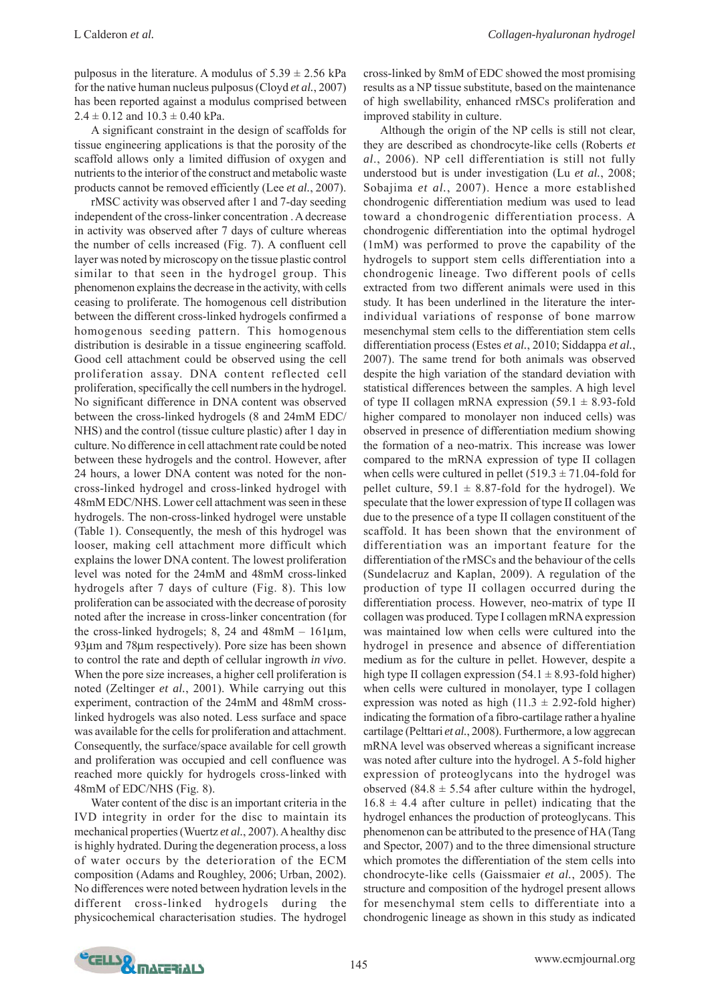pulposus in the literature. A modulus of  $5.39 \pm 2.56$  kPa for the native human nucleus pulposus (Cloyd *et al.*, 2007) has been reported against a modulus comprised between  $2.4 \pm 0.12$  and  $10.3 \pm 0.40$  kPa.

A significant constraint in the design of scaffolds for tissue engineering applications is that the porosity of the scaffold allows only a limited diffusion of oxygen and nutrients to the interior of the construct and metabolic waste products cannot be removed efficiently (Lee *et al.*, 2007).

rMSC activity was observed after 1 and 7-day seeding independent of the cross-linker concentration . A decrease in activity was observed after 7 days of culture whereas the number of cells increased (Fig. 7). A confluent cell layer was noted by microscopy on the tissue plastic control similar to that seen in the hydrogel group. This phenomenon explains the decrease in the activity, with cells ceasing to proliferate. The homogenous cell distribution between the different cross-linked hydrogels confirmed a homogenous seeding pattern. This homogenous distribution is desirable in a tissue engineering scaffold. Good cell attachment could be observed using the cell proliferation assay. DNA content reflected cell proliferation, specifically the cell numbers in the hydrogel. No significant difference in DNA content was observed between the cross-linked hydrogels (8 and 24mM EDC/ NHS) and the control (tissue culture plastic) after 1 day in culture. No difference in cell attachment rate could be noted between these hydrogels and the control. However, after 24 hours, a lower DNA content was noted for the noncross-linked hydrogel and cross-linked hydrogel with 48mM EDC/NHS. Lower cell attachment was seen in these hydrogels. The non-cross-linked hydrogel were unstable (Table 1). Consequently, the mesh of this hydrogel was looser, making cell attachment more difficult which explains the lower DNA content. The lowest proliferation level was noted for the 24mM and 48mM cross-linked hydrogels after 7 days of culture (Fig. 8). This low proliferation can be associated with the decrease of porosity noted after the increase in cross-linker concentration (for the cross-linked hydrogels; 8, 24 and 48mM – 161μm, 93μm and 78μm respectively). Pore size has been shown to control the rate and depth of cellular ingrowth *in vivo*. When the pore size increases, a higher cell proliferation is noted (Zeltinger *et al.*, 2001). While carrying out this experiment, contraction of the 24mM and 48mM crosslinked hydrogels was also noted. Less surface and space was available for the cells for proliferation and attachment. Consequently, the surface/space available for cell growth and proliferation was occupied and cell confluence was reached more quickly for hydrogels cross-linked with 48mM of EDC/NHS (Fig. 8).

Water content of the disc is an important criteria in the IVD integrity in order for the disc to maintain its mechanical properties (Wuertz *et al.*, 2007). A healthy disc is highly hydrated. During the degeneration process, a loss of water occurs by the deterioration of the ECM composition (Adams and Roughley, 2006; Urban, 2002). No differences were noted between hydration levels in the different cross-linked hydrogels during the physicochemical characterisation studies. The hydrogel

cross-linked by 8mM of EDC showed the most promising results as a NP tissue substitute, based on the maintenance of high swellability, enhanced rMSCs proliferation and improved stability in culture.

Although the origin of the NP cells is still not clear, they are described as chondrocyte-like cells (Roberts *et al*., 2006). NP cell differentiation is still not fully understood but is under investigation (Lu *et al.*, 2008; Sobajima *et al.*, 2007). Hence a more established chondrogenic differentiation medium was used to lead toward a chondrogenic differentiation process. A chondrogenic differentiation into the optimal hydrogel (1mM) was performed to prove the capability of the hydrogels to support stem cells differentiation into a chondrogenic lineage. Two different pools of cells extracted from two different animals were used in this study. It has been underlined in the literature the interindividual variations of response of bone marrow mesenchymal stem cells to the differentiation stem cells differentiation process (Estes *et al.*, 2010; Siddappa *et al.*, 2007). The same trend for both animals was observed despite the high variation of the standard deviation with statistical differences between the samples. A high level of type II collagen mRNA expression  $(59.1 \pm 8.93$ -fold higher compared to monolayer non induced cells) was observed in presence of differentiation medium showing the formation of a neo-matrix. This increase was lower compared to the mRNA expression of type II collagen when cells were cultured in pellet  $(519.3 \pm 71.04$ -fold for pellet culture,  $59.1 \pm 8.87$ -fold for the hydrogel). We speculate that the lower expression of type II collagen was due to the presence of a type II collagen constituent of the scaffold. It has been shown that the environment of differentiation was an important feature for the differentiation of the rMSCs and the behaviour of the cells (Sundelacruz and Kaplan, 2009). A regulation of the production of type II collagen occurred during the differentiation process. However, neo-matrix of type II collagen was produced. Type I collagen mRNA expression was maintained low when cells were cultured into the hydrogel in presence and absence of differentiation medium as for the culture in pellet. However, despite a high type II collagen expression  $(54.1 \pm 8.93)$ -fold higher) when cells were cultured in monolayer, type I collagen expression was noted as high (11.3  $\pm$  2.92-fold higher) indicating the formation of a fibro-cartilage rather a hyaline cartilage (Pelttari *et al.*, 2008). Furthermore, a low aggrecan mRNA level was observed whereas a significant increase was noted after culture into the hydrogel. A 5-fold higher expression of proteoglycans into the hydrogel was observed (84.8  $\pm$  5.54 after culture within the hydrogel,  $16.8 \pm 4.4$  after culture in pellet) indicating that the hydrogel enhances the production of proteoglycans. This phenomenon can be attributed to the presence of HA (Tang and Spector, 2007) and to the three dimensional structure which promotes the differentiation of the stem cells into chondrocyte-like cells (Gaissmaier *et al.*, 2005). The structure and composition of the hydrogel present allows for mesenchymal stem cells to differentiate into a chondrogenic lineage as shown in this study as indicated

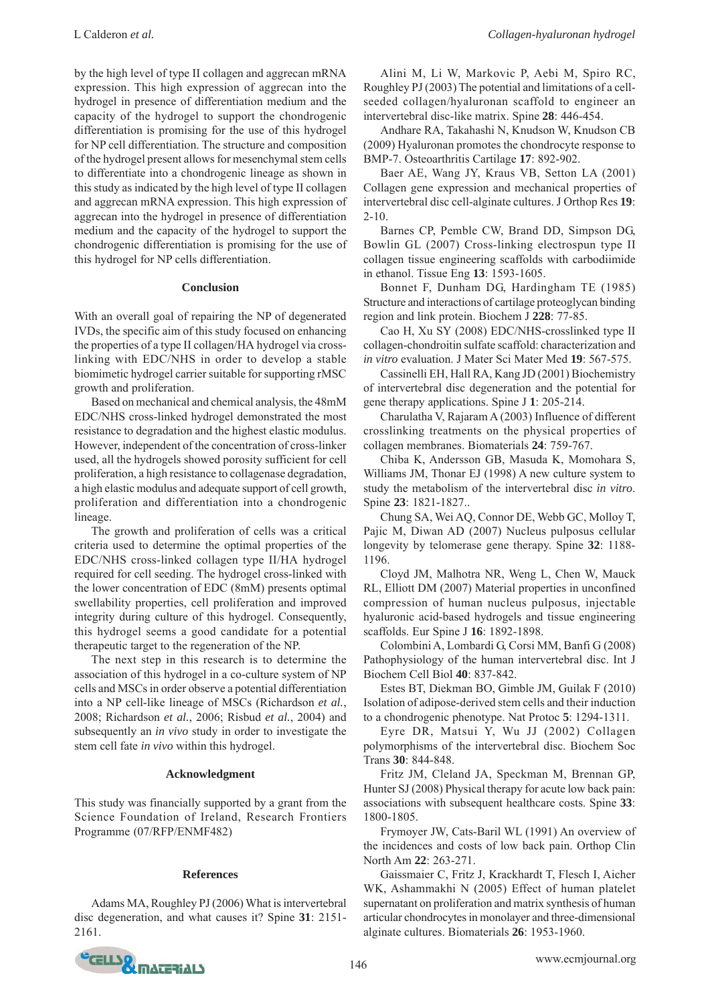by the high level of type II collagen and aggrecan mRNA expression. This high expression of aggrecan into the hydrogel in presence of differentiation medium and the capacity of the hydrogel to support the chondrogenic differentiation is promising for the use of this hydrogel for NP cell differentiation. The structure and composition of the hydrogel present allows for mesenchymal stem cells

to differentiate into a chondrogenic lineage as shown in this study as indicated by the high level of type II collagen and aggrecan mRNA expression. This high expression of aggrecan into the hydrogel in presence of differentiation medium and the capacity of the hydrogel to support the chondrogenic differentiation is promising for the use of this hydrogel for NP cells differentiation.

### **Conclusion**

With an overall goal of repairing the NP of degenerated IVDs, the specific aim of this study focused on enhancing the properties of a type II collagen/HA hydrogel via crosslinking with EDC/NHS in order to develop a stable biomimetic hydrogel carrier suitable for supporting rMSC growth and proliferation.

Based on mechanical and chemical analysis, the 48mM EDC/NHS cross-linked hydrogel demonstrated the most resistance to degradation and the highest elastic modulus. However, independent of the concentration of cross-linker used, all the hydrogels showed porosity sufficient for cell proliferation, a high resistance to collagenase degradation, a high elastic modulus and adequate support of cell growth, proliferation and differentiation into a chondrogenic lineage.

The growth and proliferation of cells was a critical criteria used to determine the optimal properties of the EDC/NHS cross-linked collagen type II/HA hydrogel required for cell seeding. The hydrogel cross-linked with the lower concentration of EDC (8mM) presents optimal swellability properties, cell proliferation and improved integrity during culture of this hydrogel. Consequently, this hydrogel seems a good candidate for a potential therapeutic target to the regeneration of the NP.

The next step in this research is to determine the association of this hydrogel in a co-culture system of NP cells and MSCs in order observe a potential differentiation into a NP cell-like lineage of MSCs (Richardson *et al.*, 2008; Richardson *et al.*, 2006; Risbud *et al.*, 2004) and subsequently an *in vivo* study in order to investigate the stem cell fate *in vivo* within this hydrogel.

## **Acknowledgment**

This study was financially supported by a grant from the Science Foundation of Ireland, Research Frontiers Programme (07/RFP/ENMF482)

## **References**

Adams MA, Roughley PJ (2006) What is intervertebral disc degeneration, and what causes it? Spine **31**: 2151- 2161.

Alini M, Li W, Markovic P, Aebi M, Spiro RC, Roughley PJ (2003) The potential and limitations of a cellseeded collagen/hyaluronan scaffold to engineer an intervertebral disc-like matrix. Spine **28**: 446-454.

Andhare RA, Takahashi N, Knudson W, Knudson CB (2009) Hyaluronan promotes the chondrocyte response to BMP-7. Osteoarthritis Cartilage **17**: 892-902.

Baer AE, Wang JY, Kraus VB, Setton LA (2001) Collagen gene expression and mechanical properties of intervertebral disc cell-alginate cultures. J Orthop Res **19**:  $2 - 10$ .

Barnes CP, Pemble CW, Brand DD, Simpson DG, Bowlin GL (2007) Cross-linking electrospun type II collagen tissue engineering scaffolds with carbodiimide in ethanol. Tissue Eng **13**: 1593-1605.

Bonnet F, Dunham DG, Hardingham TE (1985) Structure and interactions of cartilage proteoglycan binding region and link protein. Biochem J **228**: 77-85.

Cao H, Xu SY (2008) EDC/NHS-crosslinked type II collagen-chondroitin sulfate scaffold: characterization and *in vitro* evaluation. J Mater Sci Mater Med **19**: 567-575.

Cassinelli EH, Hall RA, Kang JD (2001) Biochemistry of intervertebral disc degeneration and the potential for gene therapy applications. Spine J **1**: 205-214.

Charulatha V, Rajaram A (2003) Influence of different crosslinking treatments on the physical properties of collagen membranes. Biomaterials **24**: 759-767.

Chiba K, Andersson GB, Masuda K, Momohara S, Williams JM, Thonar EJ (1998) A new culture system to study the metabolism of the intervertebral disc *in vitro*. Spine **23**: 1821-1827..

Chung SA, Wei AQ, Connor DE, Webb GC, Molloy T, Pajic M, Diwan AD (2007) Nucleus pulposus cellular longevity by telomerase gene therapy. Spine **32**: 1188- 1196.

Cloyd JM, Malhotra NR, Weng L, Chen W, Mauck RL, Elliott DM (2007) Material properties in unconfined compression of human nucleus pulposus, injectable hyaluronic acid-based hydrogels and tissue engineering scaffolds. Eur Spine J **16**: 1892-1898.

Colombini A, Lombardi G, Corsi MM, Banfi G (2008) Pathophysiology of the human intervertebral disc. Int J Biochem Cell Biol **40**: 837-842.

Estes BT, Diekman BO, Gimble JM, Guilak F (2010) Isolation of adipose-derived stem cells and their induction to a chondrogenic phenotype. Nat Protoc **5**: 1294-1311.

Eyre DR, Matsui Y, Wu JJ (2002) Collagen polymorphisms of the intervertebral disc. Biochem Soc Trans **30**: 844-848.

Fritz JM, Cleland JA, Speckman M, Brennan GP, Hunter SJ (2008) Physical therapy for acute low back pain: associations with subsequent healthcare costs. Spine **33**: 1800-1805.

Frymoyer JW, Cats-Baril WL (1991) An overview of the incidences and costs of low back pain. Orthop Clin North Am **22**: 263-271.

Gaissmaier C, Fritz J, Krackhardt T, Flesch I, Aicher WK, Ashammakhi N (2005) Effect of human platelet supernatant on proliferation and matrix synthesis of human articular chondrocytes in monolayer and three-dimensional alginate cultures. Biomaterials **26**: 1953-1960.

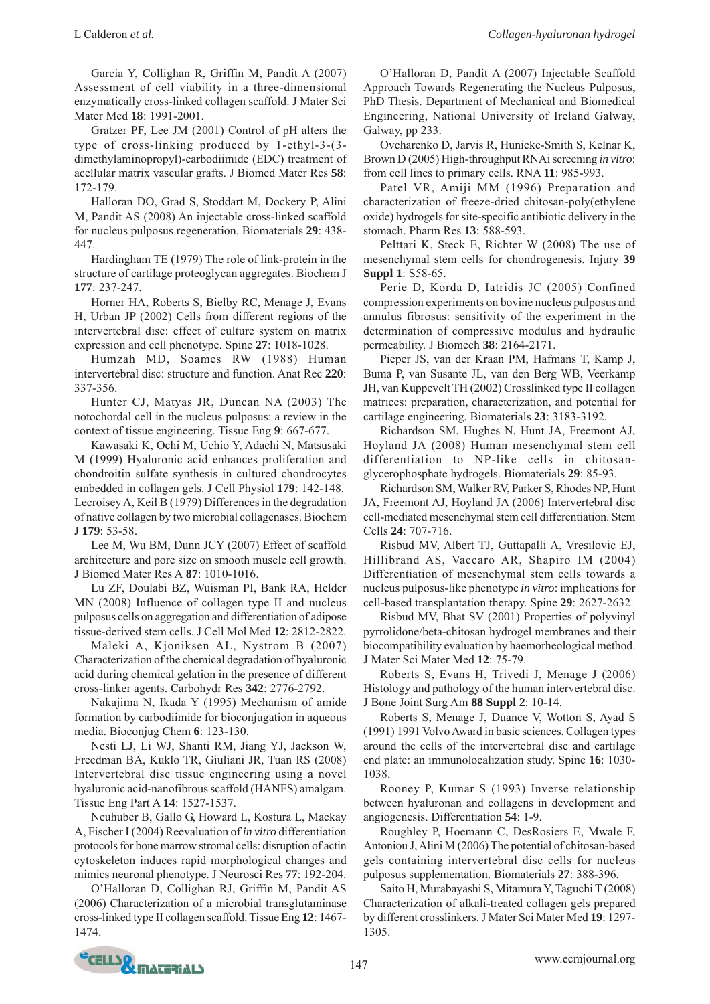Garcia Y, Collighan R, Griffin M, Pandit A (2007) Assessment of cell viability in a three-dimensional enzymatically cross-linked collagen scaffold. J Mater Sci Mater Med **18**: 1991-2001.

Gratzer PF, Lee JM (2001) Control of pH alters the type of cross-linking produced by 1-ethyl-3-(3 dimethylaminopropyl)-carbodiimide (EDC) treatment of acellular matrix vascular grafts. J Biomed Mater Res **58**: 172-179.

Halloran DO, Grad S, Stoddart M, Dockery P, Alini M, Pandit AS (2008) An injectable cross-linked scaffold for nucleus pulposus regeneration. Biomaterials **29**: 438- 447.

Hardingham TE (1979) The role of link-protein in the structure of cartilage proteoglycan aggregates. Biochem J **177**: 237-247.

Horner HA, Roberts S, Bielby RC, Menage J, Evans H, Urban JP (2002) Cells from different regions of the intervertebral disc: effect of culture system on matrix expression and cell phenotype. Spine **27**: 1018-1028.

Humzah MD, Soames RW (1988) Human intervertebral disc: structure and function. Anat Rec **220**: 337-356.

Hunter CJ, Matyas JR, Duncan NA (2003) The notochordal cell in the nucleus pulposus: a review in the context of tissue engineering. Tissue Eng **9**: 667-677.

Kawasaki K, Ochi M, Uchio Y, Adachi N, Matsusaki M (1999) Hyaluronic acid enhances proliferation and chondroitin sulfate synthesis in cultured chondrocytes embedded in collagen gels. J Cell Physiol **179**: 142-148. Lecroisey A, Keil B (1979) Differences in the degradation of native collagen by two microbial collagenases. Biochem J **179**: 53-58.

Lee M, Wu BM, Dunn JCY (2007) Effect of scaffold architecture and pore size on smooth muscle cell growth. J Biomed Mater Res A **87**: 1010-1016.

Lu ZF, Doulabi BZ, Wuisman PI, Bank RA, Helder MN (2008) Influence of collagen type II and nucleus pulposus cells on aggregation and differentiation of adipose tissue-derived stem cells. J Cell Mol Med **12**: 2812-2822.

Maleki A, Kjoniksen AL, Nystrom B (2007) Characterization of the chemical degradation of hyaluronic acid during chemical gelation in the presence of different cross-linker agents. Carbohydr Res **342**: 2776-2792.

Nakajima N, Ikada Y (1995) Mechanism of amide formation by carbodiimide for bioconjugation in aqueous media. Bioconjug Chem **6**: 123-130.

Nesti LJ, Li WJ, Shanti RM, Jiang YJ, Jackson W, Freedman BA, Kuklo TR, Giuliani JR, Tuan RS (2008) Intervertebral disc tissue engineering using a novel hyaluronic acid-nanofibrous scaffold (HANFS) amalgam. Tissue Eng Part A **14**: 1527-1537.

Neuhuber B, Gallo G, Howard L, Kostura L, Mackay A, Fischer I (2004) Reevaluation of *in vitro* differentiation protocols for bone marrow stromal cells: disruption of actin cytoskeleton induces rapid morphological changes and mimics neuronal phenotype. J Neurosci Res **77**: 192-204.

O'Halloran D, Collighan RJ, Griffin M, Pandit AS (2006) Characterization of a microbial transglutaminase cross-linked type II collagen scaffold. Tissue Eng **12**: 1467- 1474.

O'Halloran D, Pandit A (2007) Injectable Scaffold Approach Towards Regenerating the Nucleus Pulposus, PhD Thesis. Department of Mechanical and Biomedical Engineering, National University of Ireland Galway, Galway, pp 233.

Ovcharenko D, Jarvis R, Hunicke-Smith S, Kelnar K, Brown D (2005) High-throughput RNAi screening *in vitro*: from cell lines to primary cells. RNA **11**: 985-993.

Patel VR, Amiji MM (1996) Preparation and characterization of freeze-dried chitosan-poly(ethylene oxide) hydrogels for site-specific antibiotic delivery in the stomach. Pharm Res **13**: 588-593.

Pelttari K, Steck E, Richter W (2008) The use of mesenchymal stem cells for chondrogenesis. Injury **39 Suppl 1**: S58-65.

Perie D, Korda D, Iatridis JC (2005) Confined compression experiments on bovine nucleus pulposus and annulus fibrosus: sensitivity of the experiment in the determination of compressive modulus and hydraulic permeability. J Biomech **38**: 2164-2171.

Pieper JS, van der Kraan PM, Hafmans T, Kamp J, Buma P, van Susante JL, van den Berg WB, Veerkamp JH, van Kuppevelt TH (2002) Crosslinked type II collagen matrices: preparation, characterization, and potential for cartilage engineering. Biomaterials **23**: 3183-3192.

Richardson SM, Hughes N, Hunt JA, Freemont AJ, Hoyland JA (2008) Human mesenchymal stem cell differentiation to NP-like cells in chitosanglycerophosphate hydrogels. Biomaterials **29**: 85-93.

Richardson SM, Walker RV, Parker S, Rhodes NP, Hunt JA, Freemont AJ, Hoyland JA (2006) Intervertebral disc cell-mediated mesenchymal stem cell differentiation. Stem Cells **24**: 707-716.

Risbud MV, Albert TJ, Guttapalli A, Vresilovic EJ, Hillibrand AS, Vaccaro AR, Shapiro IM (2004) Differentiation of mesenchymal stem cells towards a nucleus pulposus-like phenotype *in vitro*: implications for cell-based transplantation therapy. Spine **29**: 2627-2632.

Risbud MV, Bhat SV (2001) Properties of polyvinyl pyrrolidone/beta-chitosan hydrogel membranes and their biocompatibility evaluation by haemorheological method. J Mater Sci Mater Med **12**: 75-79.

Roberts S, Evans H, Trivedi J, Menage J (2006) Histology and pathology of the human intervertebral disc. J Bone Joint Surg Am **88 Suppl 2**: 10-14.

Roberts S, Menage J, Duance V, Wotton S, Ayad S (1991) 1991 Volvo Award in basic sciences. Collagen types around the cells of the intervertebral disc and cartilage end plate: an immunolocalization study. Spine **16**: 1030- 1038.

Rooney P, Kumar S (1993) Inverse relationship between hyaluronan and collagens in development and angiogenesis. Differentiation **54**: 1-9.

Roughley P, Hoemann C, DesRosiers E, Mwale F, Antoniou J, Alini M (2006) The potential of chitosan-based gels containing intervertebral disc cells for nucleus pulposus supplementation. Biomaterials **27**: 388-396.

Saito H, Murabayashi S, Mitamura Y, Taguchi T (2008) Characterization of alkali-treated collagen gels prepared by different crosslinkers. J Mater Sci Mater Med **19**: 1297- 1305.